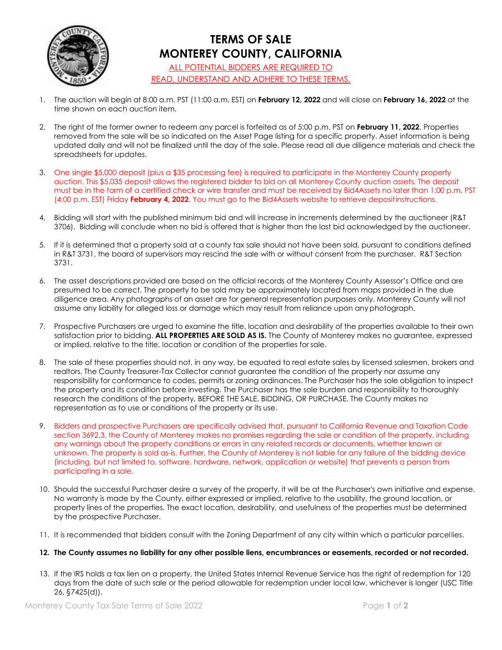

## **TERMS OF SALE MONTEREY COUNTY, CALIFORNIA** ALL POTENTIAL BIDDERS ARE REQUIRED TO

READ, UNDERSTAND AND ADHERE TO THESE TERMS.

- 1. The auction will begin at 8:00 a.m. PST (11:00 a.m. EST) on **February 12, 2022** and will close on **February 16, 2022** at the time shown on each auction item.
- 2. The right of the former owner to redeem any parcel is forfeited as of 5:00 p.m. PST on **February 11, 2022**. Properties removed from the sale will be so indicated on the Asset Page listing for a specific property. Asset information is being updated daily and will not be finalized until the day of the sale. Please read all due diligence materials and check the spreadsheets for updates.
- 3. One single \$5,000 deposit (plus a \$35 processing fee) is required to participate in the Monterey County property auction. This \$5,035 deposit allows the registered bidder to bid on all Monterey County auction assets. The deposit must be in the form of a certified check or wire transfer and must be received by Bid4Assets no later than 1:00 p.m. PST (4:00 p.m. EST) Friday **February 4, 2022**. You must go to the Bid4Assets website to retrieve depositinstructions.
- 4. Bidding will start with the published minimum bid and will increase in increments determined by the auctioneer (R&T 3706). Bidding will conclude when no bid is offered that is higher than the last bid acknowledged by the auctioneer.
- 5. If it is determined that a property sold at a county tax sale should not have been sold, pursuant to conditions defined in R&T 3731, the board of supervisors may rescind the sale with or without consent from the purchaser. R&T Section 3731.
- 6. The asset descriptions provided are based on the official records of the Monterey County Assessor's Office and are presumed to be correct. The property to be sold may be approximately located from maps provided in the due diligence area. Any photographs of an asset are for general representation purposes only. Monterey County will not assume any liability for alleged loss or damage which may result from reliance upon any photograph.
- 7. Prospective Purchasers are urged to examine the title, location and desirability of the properties available to their own satisfaction prior to bidding. **ALL PROPERTIES ARE SOLD AS IS.** The County of Monterey makes no guarantee, expressed or implied, relative to the title, location or condition of the properties for sale.
- 8. The sale of these properties should not, in any way, be equated to real estate sales by licensed salesmen, brokers and realtors. The County Treasurer-Tax Collector cannot guarantee the condition of the property nor assume any responsibility for conformance to codes, permits or zoning ordinances. The Purchaser has the sole obligation to inspect the property and its condition before investing. The Purchaser has the sole burden and responsibility to thoroughly research the conditions of the property, BEFORE THE SALE, BIDDING, OR PURCHASE. The County makes no representation as to use or conditions of the property or its use.
- 9. Bidders and prospective Purchasers are specifically advised that, pursuant to California Revenue and Taxation Code section 3692.3, the County of Monterey makes no promises regarding the sale or condition of the property, including any warnings about the property conditions or errors in any related records or documents, whether known or unknown. The property is sold as-is. Further, the County of Monterey is not liable for any failure of the bidding device (including, but not limited to, software, hardware, network, application or website) that prevents a person from participating in a sale.
- 10. Should the successful Purchaser desire a survey of the property, it will be at the Purchaser's own initiative and expense. No warranty is made by the County, either expressed or implied, relative to the usability, the ground location, or property lines of the properties. The exact location, desirability, and usefulness of the properties must be determined by the prospective Purchaser.
- 11. It is recommended that bidders consult with the Zoning Department of any city within which a particular parcel lies.
- **12. The County assumes no liability for any other possible liens, encumbrances or easements, recorded or not recorded.**
- 13. If the IRS holds a tax lien on a property, the United States Internal Revenue Service has the right of redemption for 120 days from the date of such sale or the period allowable for redemption under local law, whichever is longer (USC Title 26, §7425(d)).